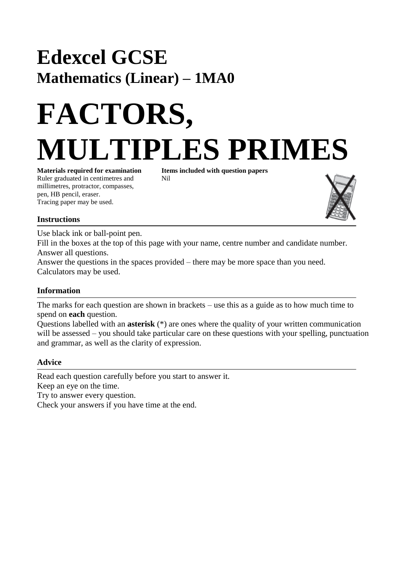## **Edexcel GCSE Mathematics (Linear) – 1MA0**

# **FACTORS, MULTIPLES PRIMES**

Ruler graduated in centimetres and Nil millimetres, protractor, compasses, pen, HB pencil, eraser. Tracing paper may be used.

**Materials required for examination Items included with question papers**



### **Instructions**

Use black ink or ball-point pen.

Fill in the boxes at the top of this page with your name, centre number and candidate number. Answer all questions.

Answer the questions in the spaces provided – there may be more space than you need. Calculators may be used.

### **Information**

The marks for each question are shown in brackets – use this as a guide as to how much time to spend on **each** question.

Questions labelled with an **asterisk** (\*) are ones where the quality of your written communication will be assessed – you should take particular care on these questions with your spelling, punctuation and grammar, as well as the clarity of expression.

#### **Advice**

Read each question carefully before you start to answer it. Keep an eye on the time. Try to answer every question. Check your answers if you have time at the end.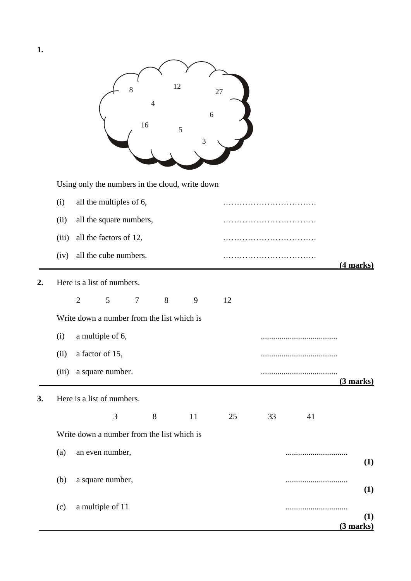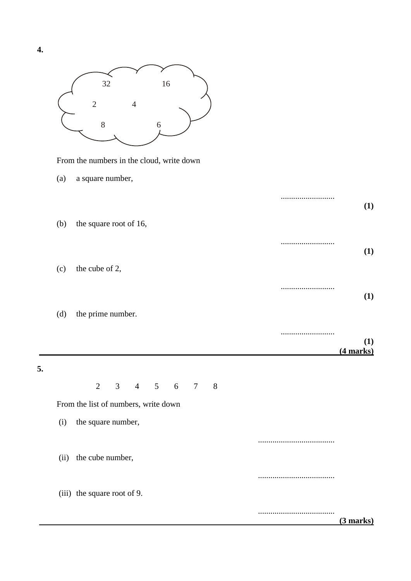

From the numbers in the cloud, write down

(a) a square number,

|    |     |                                                                                          | (1)         |
|----|-----|------------------------------------------------------------------------------------------|-------------|
|    | (b) | the square root of 16,                                                                   | <br>(1)     |
|    | (c) | the cube of 2,                                                                           |             |
|    |     |                                                                                          | <br>(1)     |
|    | (d) | the prime number.                                                                        | (1)         |
|    |     |                                                                                          | $(4$ marks) |
| 5. |     |                                                                                          |             |
|    |     | $\overline{2}$<br>$\overline{3}$<br>$4\quad 5$<br>$6\overline{6}$<br>$\overline{7}$<br>8 |             |
|    |     | From the list of numbers, write down                                                     |             |
|    | (i) | the square number,                                                                       |             |
|    |     |                                                                                          |             |
|    |     | (ii) the cube number,                                                                    |             |
|    |     |                                                                                          |             |
|    |     | (iii) the square root of 9.                                                              |             |
|    |     |                                                                                          | (3 marks)   |

**5.**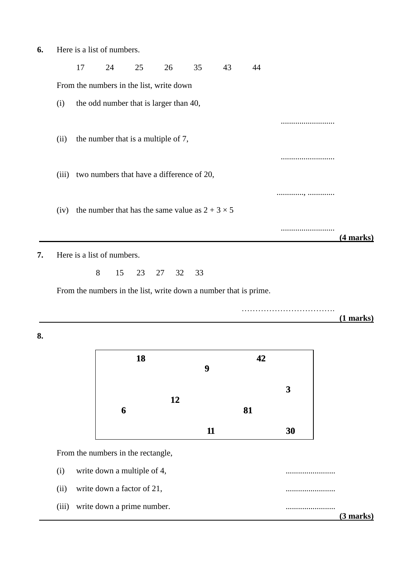**6.** Here is a list of numbers.

|       | 17 | 24                                                     | 25 | 26       | 35 | 43                                                               | 44 |             |
|-------|----|--------------------------------------------------------|----|----------|----|------------------------------------------------------------------|----|-------------|
|       |    | From the numbers in the list, write down               |    |          |    |                                                                  |    |             |
| (i)   |    | the odd number that is larger than 40,                 |    |          |    |                                                                  |    |             |
|       |    |                                                        |    |          |    |                                                                  |    |             |
| (ii)  |    | the number that is a multiple of 7,                    |    |          |    |                                                                  |    |             |
|       |    |                                                        |    |          |    |                                                                  |    |             |
| (iii) |    | two numbers that have a difference of 20,              |    |          |    |                                                                  |    |             |
|       |    |                                                        |    |          |    |                                                                  |    |             |
| (iv)  |    | the number that has the same value as $2 + 3 \times 5$ |    |          |    |                                                                  |    |             |
|       |    |                                                        |    |          |    |                                                                  |    | (4 marks)   |
|       |    | Here is a list of numbers.                             |    |          |    |                                                                  |    |             |
|       |    | 8<br>15                                                | 23 | 27<br>32 | 33 |                                                                  |    |             |
|       |    |                                                        |    |          |    | From the numbers in the list, write down a number that is prime. |    |             |
|       |    |                                                        |    |          |    |                                                                  |    |             |
|       |    |                                                        |    |          |    |                                                                  |    | $(1$ marks) |

**8.**

| 18 |    |    | 42 |    |
|----|----|----|----|----|
|    |    | 9  |    |    |
| 6  | 12 |    | 81 | 3  |
|    |    | 11 |    | 30 |

From the numbers in the rectangle,

(i) write down a multiple of 4, ........................ (ii) write down a factor of 21, ........................ (iii) write down a prime number. ........................  **(3 marks)**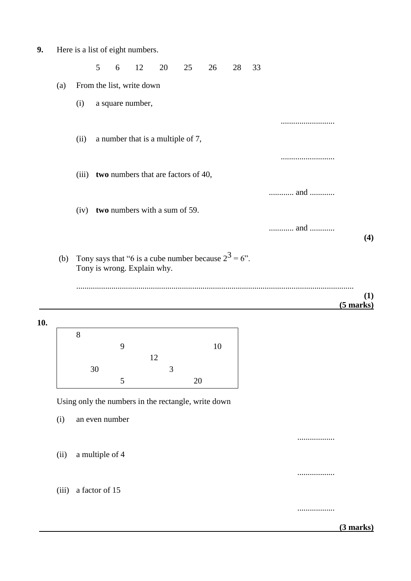| 9.<br>Here is a list of eight numbers. |  |
|----------------------------------------|--|
|----------------------------------------|--|

5 6 12 20 25 26 28 33 (a) From the list, write down (i) a square number, .......................... (ii) a number that is a multiple of 7, .......................... (iii) **two** numbers that are factors of 40, ............ and ............ (iv) **two** numbers with a sum of 59. ............ and ............ **(4)** (b) Tony says that "6 is a cube number because  $2^3 = 6$ ". Tony is wrong. Explain why. ...................................................................................................................................... **(1) (5 marks)**

**10.**

| 8  |   |    |   |    |    |
|----|---|----|---|----|----|
|    | 9 |    |   |    | 10 |
|    |   | 12 |   |    |    |
| 30 |   |    | 3 |    |    |
|    | 5 |    |   | 20 |    |

Using only the numbers in the rectangle, write down

(i) an even number .................. (ii) a multiple of 4 .................. (iii) a factor of 15

 **(3 marks)**

..................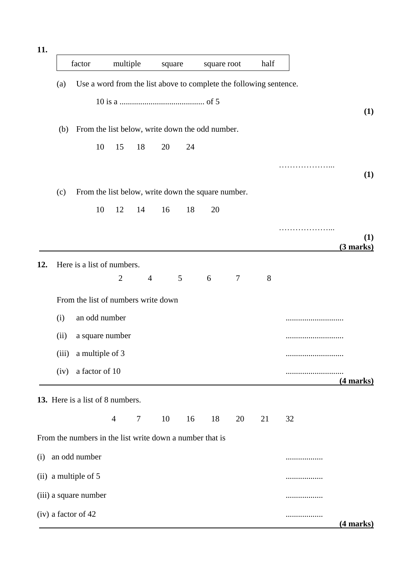| 11. |      |                                                                    |                |                |        |    |             |                |      |    |                  |
|-----|------|--------------------------------------------------------------------|----------------|----------------|--------|----|-------------|----------------|------|----|------------------|
|     |      | factor                                                             | multiple       |                | square |    | square root |                | half |    |                  |
|     | (a)  | Use a word from the list above to complete the following sentence. |                |                |        |    |             |                |      |    |                  |
|     |      |                                                                    |                |                |        |    |             |                |      |    | (1)              |
|     | (b)  | From the list below, write down the odd number.                    |                |                |        |    |             |                |      |    |                  |
|     |      | 10                                                                 | 15             | 18             | 20     | 24 |             |                |      |    |                  |
|     |      |                                                                    |                |                |        |    |             |                |      |    | (1)              |
|     | (c)  | From the list below, write down the square number.                 |                |                |        |    |             |                |      |    |                  |
|     |      | 10                                                                 | 12             | 14             | 16     | 18 | 20          |                |      |    |                  |
|     |      |                                                                    |                |                |        |    |             |                |      |    | (1)<br>(3 marks) |
| 12. |      | Here is a list of numbers.                                         |                |                |        |    |             |                |      |    |                  |
|     |      |                                                                    | $\overline{2}$ | $\overline{4}$ |        | 5  | 6           | $\overline{7}$ | 8    |    |                  |
|     |      | From the list of numbers write down                                |                |                |        |    |             |                |      |    |                  |
|     | (i)  | an odd number                                                      |                |                |        |    |             |                |      |    |                  |
|     | (ii) | a square number                                                    |                |                |        |    |             |                |      |    |                  |
|     |      | (iii) a multiple of $3$                                            |                |                |        |    |             |                |      |    |                  |
|     | (iv) | a factor of 10                                                     |                |                |        |    |             |                |      |    | (4 marks)        |
|     |      | 13. Here is a list of 8 numbers.                                   |                |                |        |    |             |                |      |    |                  |
|     |      |                                                                    | $\overline{4}$ | $\tau$         | 10     | 16 | 18          | 20             | 21   | 32 |                  |
|     |      | From the numbers in the list write down a number that is           |                |                |        |    |             |                |      |    |                  |
| (i) |      | an odd number                                                      |                |                |        |    |             |                |      | .  |                  |
|     |      | $(ii)$ a multiple of 5                                             |                |                |        |    |             |                |      | .  |                  |
|     |      | (iii) a square number                                              |                |                |        |    |             |                |      | .  |                  |
|     |      | (iv) a factor of 42                                                |                |                |        |    |             |                |      | .  | (4 marks)        |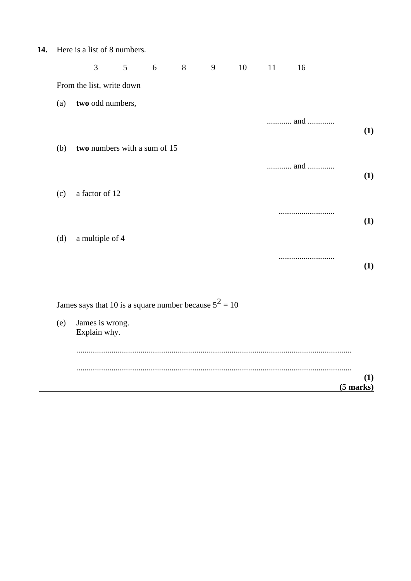| Here is a list of 8 numbers.<br>14. |  |
|-------------------------------------|--|
|-------------------------------------|--|

|     | 3                                                        | 5 | 6 | 8 | 9 | 10 | 11 | 16  |     |
|-----|----------------------------------------------------------|---|---|---|---|----|----|-----|-----|
|     | From the list, write down                                |   |   |   |   |    |    |     |     |
| (a) | two odd numbers,                                         |   |   |   |   |    |    |     |     |
|     |                                                          |   |   |   |   |    |    | and | (1) |
| (b) | two numbers with a sum of 15                             |   |   |   |   |    |    |     |     |
|     |                                                          |   |   |   |   |    |    | and | (1) |
| (c) | a factor of 12                                           |   |   |   |   |    |    |     |     |
|     |                                                          |   |   |   |   |    |    |     | (1) |
| (d) | a multiple of 4                                          |   |   |   |   |    |    |     |     |
|     |                                                          |   |   |   |   |    |    |     | (1) |
|     | James says that 10 is a square number because $5^2 = 10$ |   |   |   |   |    |    |     |     |

(e) James is wrong. Explain why.

| $(5$ marks) |  |
|-------------|--|
|             |  |